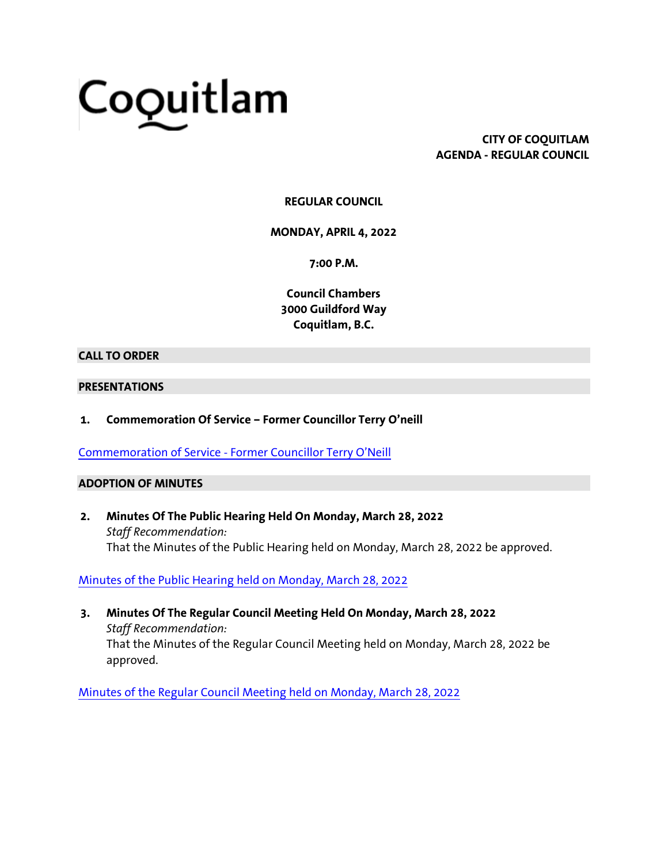# Coquitlam

**CITY OF COQUITLAM AGENDA - REGULAR COUNCIL**

# **REGULAR COUNCIL**

**MONDAY, APRIL 4, 2022**

**7:00 P.M.**

**Council Chambers 3000 Guildford Way Coquitlam, B.C.**

## **CALL TO ORDER**

## **PRESENTATIONS**

**1. Commemoration Of Service – Former Councillor Terry O'neill**

Commemoration of Service - [Former Councillor Terry O'Neill](https://coquitlam.ca.granicus.com/MetaViewer.php?view_id=2&event_id=1297&meta_id=54197)

#### **ADOPTION OF MINUTES**

**2. Minutes Of The Public Hearing Held On Monday, March 28, 2022** *Staff Recommendation:* That the Minutes of the Public Hearing held on Monday, March 28, 2022 be approved.

[Minutes of the Public Hearing held on Monday, March 28, 2022](https://coquitlam.ca.granicus.com/MetaViewer.php?view_id=2&event_id=1297&meta_id=54199)

**3. Minutes Of The Regular Council Meeting Held On Monday, March 28, 2022** *Staff Recommendation:* That the Minutes of the Regular Council Meeting held on Monday, March 28, 2022 be approved.

[Minutes of the Regular Council Meeting held on Monday, March 28, 2022](https://coquitlam.ca.granicus.com/MetaViewer.php?view_id=2&event_id=1297&meta_id=54201)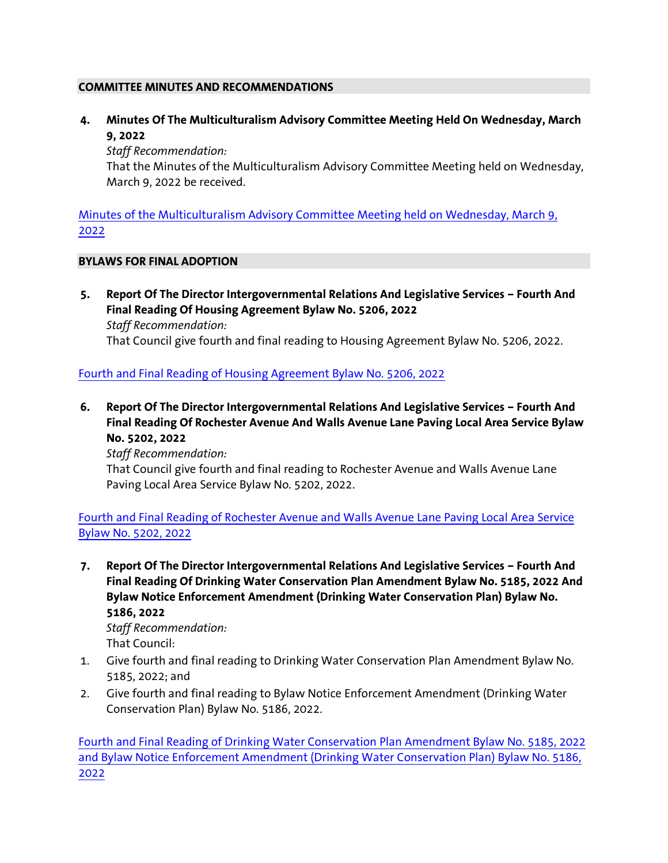# **COMMITTEE MINUTES AND RECOMMENDATIONS**

**4. Minutes Of The Multiculturalism Advisory Committee Meeting Held On Wednesday, March 9, 2022**

*Staff Recommendation:*

That the Minutes of the Multiculturalism Advisory Committee Meeting held on Wednesday, March 9, 2022 be received.

[Minutes of the Multiculturalism Advisory Committee Meeting held on Wednesday, March 9,](https://coquitlam.ca.granicus.com/MetaViewer.php?view_id=2&event_id=1297&meta_id=54204)  [2022](https://coquitlam.ca.granicus.com/MetaViewer.php?view_id=2&event_id=1297&meta_id=54204)

# **BYLAWS FOR FINAL ADOPTION**

**5. Report Of The Director Intergovernmental Relations And Legislative Services – Fourth And Final Reading Of Housing Agreement Bylaw No. 5206, 2022** *Staff Recommendation:* That Council give fourth and final reading to Housing Agreement Bylaw No. 5206, 2022.

# [Fourth and Final Reading of Housing Agreement Bylaw No. 5206, 2022](https://coquitlam.ca.granicus.com/MetaViewer.php?view_id=2&event_id=1297&meta_id=54206)

**6. Report Of The Director Intergovernmental Relations And Legislative Services – Fourth And Final Reading Of Rochester Avenue And Walls Avenue Lane Paving Local Area Service Bylaw No. 5202, 2022**

*Staff Recommendation:*

That Council give fourth and final reading to Rochester Avenue and Walls Avenue Lane Paving Local Area Service Bylaw No. 5202, 2022.

[Fourth and Final Reading of Rochester Avenue and Walls Avenue Lane Paving Local Area Service](https://coquitlam.ca.granicus.com/MetaViewer.php?view_id=2&event_id=1297&meta_id=54208)  [Bylaw No. 5202, 2022](https://coquitlam.ca.granicus.com/MetaViewer.php?view_id=2&event_id=1297&meta_id=54208)

**7. Report Of The Director Intergovernmental Relations And Legislative Services – Fourth And Final Reading Of Drinking Water Conservation Plan Amendment Bylaw No. 5185, 2022 And Bylaw Notice Enforcement Amendment (Drinking Water Conservation Plan) Bylaw No. 5186, 2022** *Staff Recommendation:*

That Council:

- 1. Give fourth and final reading to Drinking Water Conservation Plan Amendment Bylaw No. 5185, 2022; and
- 2. Give fourth and final reading to Bylaw Notice Enforcement Amendment (Drinking Water Conservation Plan) Bylaw No. 5186, 2022.

[Fourth and Final Reading of Drinking Water Conservation Plan Amendment Bylaw No. 5185, 2022](https://coquitlam.ca.granicus.com/MetaViewer.php?view_id=2&event_id=1297&meta_id=54210)  [and Bylaw Notice Enforcement Amendment \(Drinking Water Conservation Plan\) Bylaw No. 5186,](https://coquitlam.ca.granicus.com/MetaViewer.php?view_id=2&event_id=1297&meta_id=54210)  [2022](https://coquitlam.ca.granicus.com/MetaViewer.php?view_id=2&event_id=1297&meta_id=54210)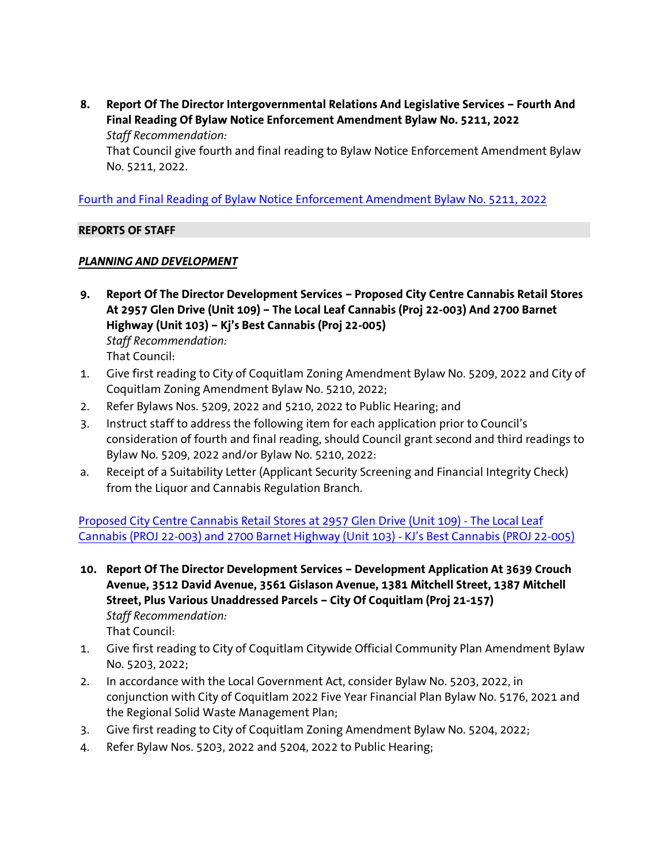**8. Report Of The Director Intergovernmental Relations And Legislative Services – Fourth And Final Reading Of Bylaw Notice Enforcement Amendment Bylaw No. 5211, 2022** *Staff Recommendation:*

That Council give fourth and final reading to Bylaw Notice Enforcement Amendment Bylaw No. 5211, 2022.

[Fourth and Final Reading of Bylaw Notice Enforcement Amendment Bylaw No. 5211, 2022](https://coquitlam.ca.granicus.com/MetaViewer.php?view_id=2&event_id=1297&meta_id=54212)

# **REPORTS OF STAFF**

# *PLANNING AND DEVELOPMENT*

- **9. Report Of The Director Development Services – Proposed City Centre Cannabis Retail Stores At 2957 Glen Drive (Unit 109) – The Local Leaf Cannabis (Proj 22-003) And 2700 Barnet Highway (Unit 103) – Kj's Best Cannabis (Proj 22-005)** *Staff Recommendation:* That Council:
- 1. Give first reading to City of Coquitlam Zoning Amendment Bylaw No. 5209, 2022 and City of Coquitlam Zoning Amendment Bylaw No. 5210, 2022;
- 2. Refer Bylaws Nos. 5209, 2022 and 5210, 2022 to Public Hearing; and
- 3. Instruct staff to address the following item for each application prior to Council's consideration of fourth and final reading, should Council grant second and third readings to Bylaw No. 5209, 2022 and/or Bylaw No. 5210, 2022:
- a. Receipt of a Suitability Letter (Applicant Security Screening and Financial Integrity Check) from the Liquor and Cannabis Regulation Branch.

Proposed City Centre Cannabis [Retail Stores at 2957 Glen Drive \(Unit 109\) -](https://coquitlam.ca.granicus.com/MetaViewer.php?view_id=2&event_id=1297&meta_id=54214) The Local Leaf [Cannabis \(PROJ 22-003\) and 2700 Barnet Highway \(Unit 103\) -](https://coquitlam.ca.granicus.com/MetaViewer.php?view_id=2&event_id=1297&meta_id=54214) KJ's Best Cannabis (PROJ 22-005)

- **10. Report Of The Director Development Services – Development Application At 3639 Crouch Avenue, 3512 David Avenue, 3561 Gislason Avenue, 1381 Mitchell Street, 1387 Mitchell Street, Plus Various Unaddressed Parcels – City Of Coquitlam (Proj 21-157)** *Staff Recommendation:* That Council:
- 1. Give first reading to City of Coquitlam Citywide Official Community Plan Amendment Bylaw No. 5203, 2022;
- 2. In accordance with the Local Government Act, consider Bylaw No. 5203, 2022, in conjunction with City of Coquitlam 2022 Five Year Financial Plan Bylaw No. 5176, 2021 and the Regional Solid Waste Management Plan;
- 3. Give first reading to City of Coquitlam Zoning Amendment Bylaw No. 5204, 2022;
- 4. Refer Bylaw Nos. 5203, 2022 and 5204, 2022 to Public Hearing;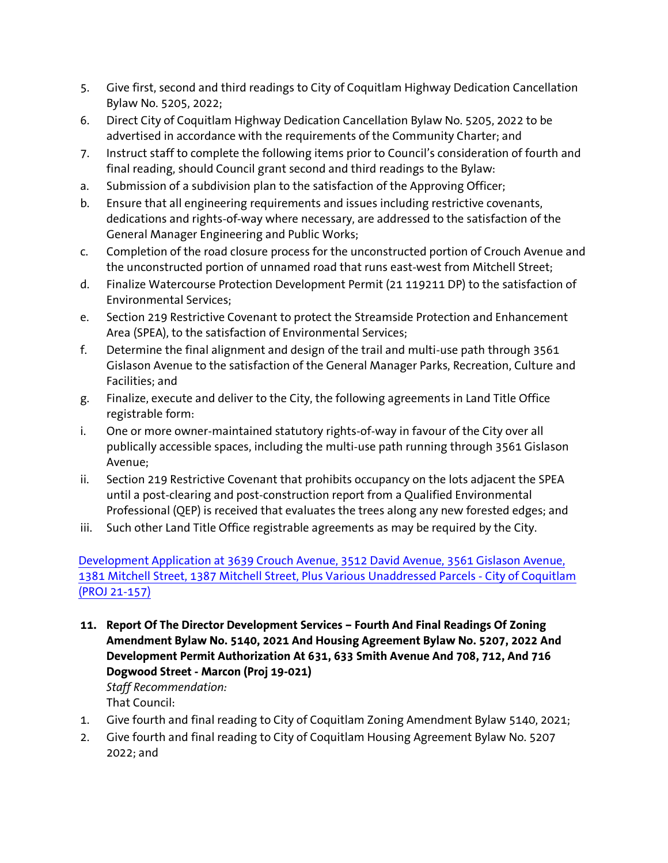- 5. Give first, second and third readings to City of Coquitlam Highway Dedication Cancellation Bylaw No. 5205, 2022;
- 6. Direct City of Coquitlam Highway Dedication Cancellation Bylaw No. 5205, 2022 to be advertised in accordance with the requirements of the Community Charter; and
- 7. Instruct staff to complete the following items prior to Council's consideration of fourth and final reading, should Council grant second and third readings to the Bylaw:
- a. Submission of a subdivision plan to the satisfaction of the Approving Officer;
- b. Ensure that all engineering requirements and issues including restrictive covenants, dedications and rights-of-way where necessary, are addressed to the satisfaction of the General Manager Engineering and Public Works;
- c. Completion of the road closure process for the unconstructed portion of Crouch Avenue and the unconstructed portion of unnamed road that runs east-west from Mitchell Street;
- d. Finalize Watercourse Protection Development Permit (21 119211 DP) to the satisfaction of Environmental Services;
- e. Section 219 Restrictive Covenant to protect the Streamside Protection and Enhancement Area (SPEA), to the satisfaction of Environmental Services;
- f. Determine the final alignment and design of the trail and multi-use path through 3561 Gislason Avenue to the satisfaction of the General Manager Parks, Recreation, Culture and Facilities; and
- g. Finalize, execute and deliver to the City, the following agreements in Land Title Office registrable form:
- i. One or more owner-maintained statutory rights-of-way in favour of the City over all publically accessible spaces, including the multi-use path running through 3561 Gislason Avenue;
- ii. Section 219 Restrictive Covenant that prohibits occupancy on the lots adjacent the SPEA until a post-clearing and post-construction report from a Qualified Environmental Professional (QEP) is received that evaluates the trees along any new forested edges; and
- iii. Such other Land Title Office registrable agreements as may be required by the City.

[Development Application at 3639 Crouch Avenue, 3512 David Avenue, 3561 Gislason Avenue,](https://coquitlam.ca.granicus.com/MetaViewer.php?view_id=2&event_id=1297&meta_id=54216)  [1381 Mitchell Street, 1387 Mitchell Street, Plus Various Unaddressed Parcels -](https://coquitlam.ca.granicus.com/MetaViewer.php?view_id=2&event_id=1297&meta_id=54216) City of Coquitlam [\(PROJ 21-157\)](https://coquitlam.ca.granicus.com/MetaViewer.php?view_id=2&event_id=1297&meta_id=54216)

**11. Report Of The Director Development Services – Fourth And Final Readings Of Zoning Amendment Bylaw No. 5140, 2021 And Housing Agreement Bylaw No. 5207, 2022 And Development Permit Authorization At 631, 633 Smith Avenue And 708, 712, And 716 Dogwood Street - Marcon (Proj 19-021)**

*Staff Recommendation:* That Council:

- 1. Give fourth and final reading to City of Coquitlam Zoning Amendment Bylaw 5140, 2021;
- 2. Give fourth and final reading to City of Coquitlam Housing Agreement Bylaw No. 5207 2022; and